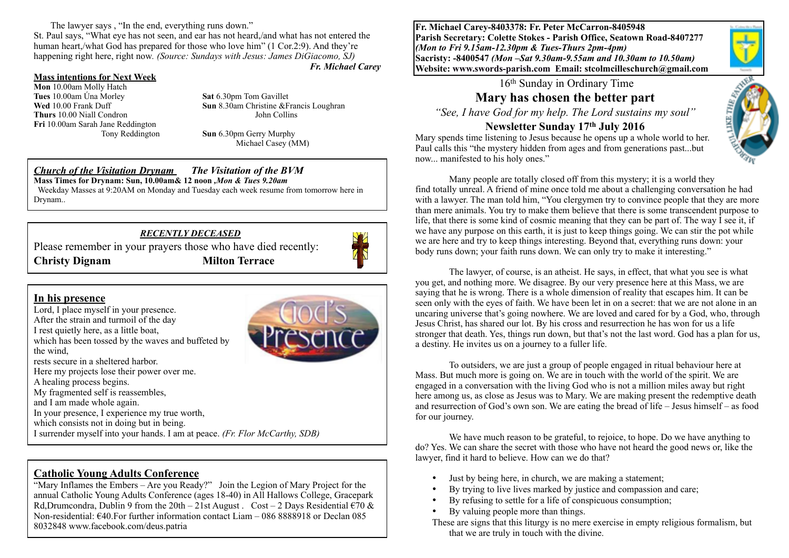The lawyer says , "In the end, everything runs down."

St. Paul says, "What eye has not seen, and ear has not heard,/and what has not entered the human heart,/what God has prepared for those who love him" (1 Cor.2:9). And they're happening right here, right now*. (Source: Sundays with Jesus: James DiGiacomo, SJ) Fr. Michael Carey*

#### **Mass intentions for Next Week**

**Mon** 10.00am Molly Hatch **Tues** 10.00am Úna Morley **Sat 6.30pm Tom Gavillet Wed** 10.00 Frank Duff **Sun 8.30am** Christine & F **Thurs** 10.00 Niall Condron John Collins **Fri** 10.00am Sarah Jane Reddington

**Sun 8.30am Christine &Francis Loughran** 

 Tony Reddington **Sun** 6.30pm Gerry Murphy Michael Casey (MM)

#### *Church of the Visitation Drynam**The Visitation of the BVM* **Mass Times for Drynam: Sun, 10.00am& 12 noon** *,Mon & Tues 9.20am*

 Weekday Masses at 9:20AM on Monday and Tuesday each week resume from tomorrow here in Drynam..

### *RECENTLY DECEASED*

Please remember in your prayers those who have died recently: **Christy Dignam Milton Terrace** 



- Lord, I place myself in your presence. After the strain and turmoil of the day I rest quietly here, as a little boat, which has been tossed by the waves and buffeted by the wind, rests secure in a sheltered harbor. Here my projects lose their power over me.
	-
- A healing process begins.
- My fragmented self is reassembles,
- and I am made whole again.
- In your presence, I experience my true worth,
- which consists not in doing but in being.
- I surrender myself into your hands. I am at peace. *(Fr. Flor McCarthy, SDB)*

### **Catholic Young Adults Conference**

"Mary Inflames the Embers – Are you Ready?" Join the Legion of Mary Project for the annual Catholic Young Adults Conference (ages 18-40) in All Hallows College, Gracepark Rd,Drumcondra, Dublin 9 from the 20th – 21st August . Cost – 2 Days Residential  $\epsilon$ 70 & Non-residential: €40.For further information contact Liam – 086 8888918 or Declan 085 8032848 www.facebook.com/deus.patria

**Fr. Michael Carey-8403378: Fr. Peter McCarron-8405948 Parish Secretary: Colette Stokes - Parish Office, Seatown Road-8407277**  *(Mon to Fri 9.15am-12.30pm & Tues-Thurs 2pm-4pm)*  **Sacristy: -8400547** *(Mon –Sat 9.30am-9.55am and 10.30am to 10.50am)* **Website: [www.swords-parish.com Email:](http://www.swords-parish.com%20%20email) stcolmcilleschurch@gmail.com**

16th Sunday in Ordinary Time

# **Mary has chosen the better part**

*"See, I have God for my help. The Lord sustains my soul"* 

# **Newsletter Sunday 17th July 2016**

Mary spends time listening to Jesus because he opens up a whole world to her. Paul calls this "the mystery hidden from ages and from generations past...but now... manifested to his holy ones."



Many people are totally closed off from this mystery; it is a world they find totally unreal. A friend of mine once told me about a challenging conversation he had with a lawyer. The man told him, "You clergymen try to convince people that they are more than mere animals. You try to make them believe that there is some transcendent purpose to life, that there is some kind of cosmic meaning that they can be part of. The way I see it, if we have any purpose on this earth, it is just to keep things going. We can stir the pot while we are here and try to keep things interesting. Beyond that, everything runs down: your body runs down; your faith runs down. We can only try to make it interesting."

The lawyer, of course, is an atheist. He says, in effect, that what you see is what you get, and nothing more. We disagree. By our very presence here at this Mass, we are saying that he is wrong. There is a whole dimension of reality that escapes him. It can be seen only with the eyes of faith. We have been let in on a secret: that we are not alone in an uncaring universe that's going nowhere. We are loved and cared for by a God, who, through Jesus Christ, has shared our lot. By his cross and resurrection he has won for us a life stronger that death. Yes, things run down, but that's not the last word. God has a plan for us, a destiny. He invites us on a journey to a fuller life.

To outsiders, we are just a group of people engaged in ritual behaviour here at Mass. But much more is going on. We are in touch with the world of the spirit. We are engaged in a conversation with the living God who is not a million miles away but right here among us, as close as Jesus was to Mary. We are making present the redemptive death and resurrection of God's own son. We are eating the bread of life – Jesus himself – as food for our journey.

We have much reason to be grateful, to rejoice, to hope. Do we have anything to do? Yes. We can share the secret with those who have not heard the good news or, like the lawyer, find it hard to believe. How can we do that?

- Just by being here, in church, we are making a statement;
- By trying to live lives marked by justice and compassion and care;
- By refusing to settle for a life of conspicuous consumption;
- By valuing people more than things.
- These are signs that this liturgy is no mere exercise in empty religious formalism, but that we are truly in touch with the divine.